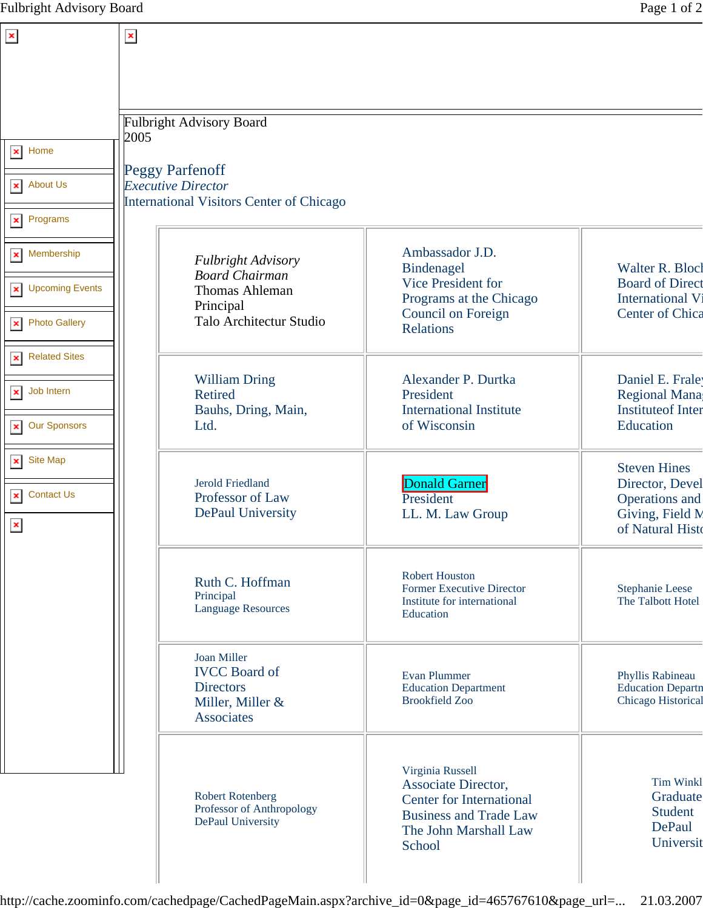| $\pmb{\times}$                                        | $\vert x \vert$                                                                                 |                                                                                                         |                                                                                                                                                |                                                                       |
|-------------------------------------------------------|-------------------------------------------------------------------------------------------------|---------------------------------------------------------------------------------------------------------|------------------------------------------------------------------------------------------------------------------------------------------------|-----------------------------------------------------------------------|
|                                                       |                                                                                                 |                                                                                                         |                                                                                                                                                |                                                                       |
|                                                       |                                                                                                 | <b>Fulbright Advisory Board</b>                                                                         |                                                                                                                                                |                                                                       |
| $\vert x \vert$ Home                                  | 2005                                                                                            |                                                                                                         |                                                                                                                                                |                                                                       |
| <b>About Us</b><br>$\pmb{\times}$                     | <b>Peggy Parfenoff</b><br><b>Executive Director</b><br>International Visitors Center of Chicago |                                                                                                         |                                                                                                                                                |                                                                       |
| Programs<br>$\pmb{\times}$                            |                                                                                                 |                                                                                                         |                                                                                                                                                |                                                                       |
| Membership<br>$\pmb{\times}$                          |                                                                                                 | Fulbright Advisory<br><b>Board Chairman</b>                                                             | Ambassador J.D.<br>Bindenagel                                                                                                                  | Walter R. Blocl                                                       |
| <b>Upcoming Events</b><br>$\pmb{\times}$              |                                                                                                 | <b>Thomas Ahleman</b><br>Principal                                                                      | <b>Vice President for</b><br>Programs at the Chicago                                                                                           | <b>Board of Direct</b><br><b>International Vi</b>                     |
| <b>Photo Gallery</b><br>$\pmb{\times}$                |                                                                                                 | Talo Architectur Studio                                                                                 | Council on Foreign<br><b>Relations</b>                                                                                                         | Center of Chica                                                       |
| <b>Related Sites</b><br>$\pmb{\times}$                |                                                                                                 | <b>William Dring</b>                                                                                    | Alexander P. Durtka                                                                                                                            | Daniel E. Frale                                                       |
| Job Intern<br>$\pmb{\times}$                          |                                                                                                 | <b>Retired</b><br>Bauhs, Dring, Main,                                                                   | President<br><b>International Institute</b>                                                                                                    | <b>Regional Mana</b><br><b>Instituteof Inter</b>                      |
| <b>Our Sponsors</b><br>$\pmb{\times}$                 |                                                                                                 | Ltd.                                                                                                    | of Wisconsin                                                                                                                                   | Education                                                             |
| Site Map<br>$\pmb{\times}$                            |                                                                                                 | <b>Jerold Friedland</b>                                                                                 | Donald Garner                                                                                                                                  | <b>Steven Hines</b><br>Director, Devel                                |
| <b>Contact Us</b><br>$\pmb{\times}$<br>$\pmb{\times}$ |                                                                                                 | Professor of Law<br><b>DePaul University</b>                                                            | President<br>LL. M. Law Group                                                                                                                  | Operations and<br>Giving, Field M<br>of Natural Histo                 |
|                                                       |                                                                                                 | Ruth C. Hoffman<br>Principal<br><b>Language Resources</b>                                               | <b>Robert Houston</b><br><b>Former Executive Director</b><br>Institute for international<br>Education                                          | <b>Stephanie Leese</b><br>The Talbott Hotel                           |
|                                                       |                                                                                                 | <b>Joan Miller</b><br><b>IVCC</b> Board of<br><b>Directors</b><br>Miller, Miller &<br><b>Associates</b> | Evan Plummer<br><b>Education Department</b><br><b>Brookfield Zoo</b>                                                                           | Phyllis Rabineau<br><b>Education Departn</b><br>Chicago Historical    |
|                                                       |                                                                                                 | <b>Robert Rotenberg</b><br>Professor of Anthropology<br>DePaul University                               | Virginia Russell<br>Associate Director,<br><b>Center for International</b><br><b>Business and Trade Law</b><br>The John Marshall Law<br>School | <b>Tim Winkl</b><br>Graduate<br><b>Student</b><br>DePaul<br>Universit |